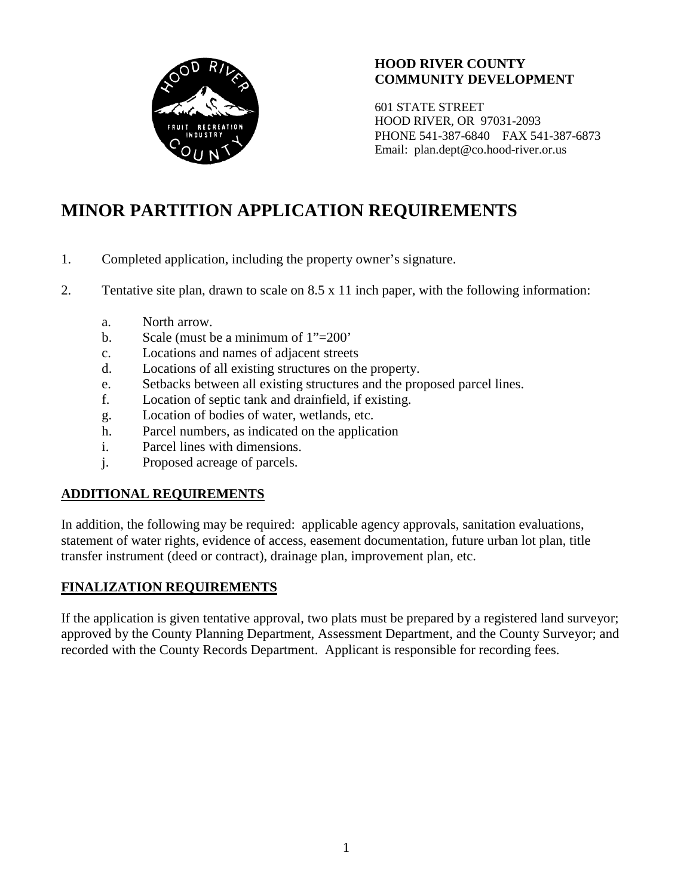

#### **HOOD RIVER COUNTY COMMUNITY DEVELOPMENT**

601 STATE STREET HOOD RIVER, OR 97031-2093 PHONE 541-387-6840 FAX 541-387-6873 Email: plan.dept@co.hood-river.or.us

# **MINOR PARTITION APPLICATION REQUIREMENTS**

- 1. Completed application, including the property owner's signature.
- 2. Tentative site plan, drawn to scale on 8.5 x 11 inch paper, with the following information:
	- a. North arrow.
	- b. Scale (must be a minimum of 1"=200'
	- c. Locations and names of adjacent streets
	- d. Locations of all existing structures on the property.
	- e. Setbacks between all existing structures and the proposed parcel lines.
	- f. Location of septic tank and drainfield, if existing.
	- g. Location of bodies of water, wetlands, etc.
	- h. Parcel numbers, as indicated on the application
	- i. Parcel lines with dimensions.
	- j. Proposed acreage of parcels.

#### **ADDITIONAL REQUIREMENTS**

In addition, the following may be required: applicable agency approvals, sanitation evaluations, statement of water rights, evidence of access, easement documentation, future urban lot plan, title transfer instrument (deed or contract), drainage plan, improvement plan, etc.

#### **FINALIZATION REQUIREMENTS**

If the application is given tentative approval, two plats must be prepared by a registered land surveyor; approved by the County Planning Department, Assessment Department, and the County Surveyor; and recorded with the County Records Department. Applicant is responsible for recording fees.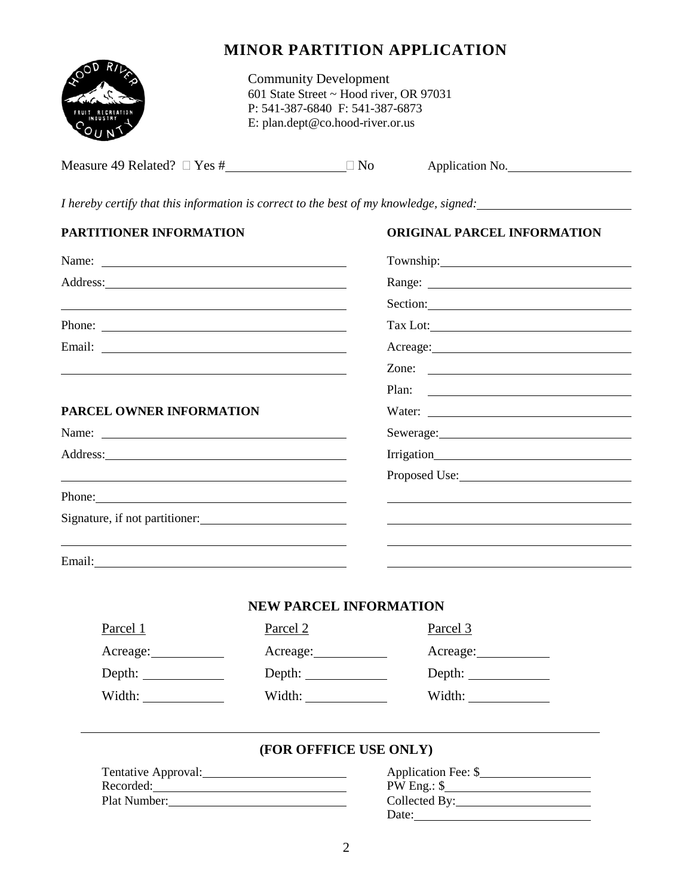

### **MINOR PARTITION APPLICATION**

Community Development 601 State Street ~ Hood river, OR 97031 P: 541-387-6840 F: 541-387-6873 E: plan.dept@co.hood-river.or.us

| Measure 49 Related? $\Box$ Yes # | N <sub>o</sub> | Application No. |  |
|----------------------------------|----------------|-----------------|--|
|                                  |                |                 |  |

*I hereby certify that this information is correct to the best of my knowledge, signed:*

| PARTITIONER INFORMATION                                                                                                                                                                                                        |                               | <b>ORIGINAL PARCEL INFORMATION</b>                               |  |
|--------------------------------------------------------------------------------------------------------------------------------------------------------------------------------------------------------------------------------|-------------------------------|------------------------------------------------------------------|--|
|                                                                                                                                                                                                                                |                               |                                                                  |  |
|                                                                                                                                                                                                                                |                               |                                                                  |  |
|                                                                                                                                                                                                                                |                               | Section:                                                         |  |
| Phone:                                                                                                                                                                                                                         |                               |                                                                  |  |
|                                                                                                                                                                                                                                |                               | Acreage: No. 1996. Acreage:                                      |  |
|                                                                                                                                                                                                                                |                               | Zone: $\qquad \qquad$                                            |  |
|                                                                                                                                                                                                                                |                               | Plan:<br><u> 1989 - Johann Barnett, fransk politik (d. 1989)</u> |  |
| PARCEL OWNER INFORMATION                                                                                                                                                                                                       |                               |                                                                  |  |
|                                                                                                                                                                                                                                |                               |                                                                  |  |
|                                                                                                                                                                                                                                |                               |                                                                  |  |
|                                                                                                                                                                                                                                |                               | Proposed Use:                                                    |  |
| Phone: 2008 and 2008 and 2008 and 2008 and 2008 and 2008 and 2008 and 2008 and 2008 and 2008 and 2008 and 2008 and 2008 and 2008 and 2008 and 2008 and 2008 and 2008 and 2008 and 2008 and 2008 and 2008 and 2008 and 2008 and |                               |                                                                  |  |
| Signature, if not partitioner:                                                                                                                                                                                                 |                               |                                                                  |  |
|                                                                                                                                                                                                                                |                               |                                                                  |  |
|                                                                                                                                                                                                                                |                               |                                                                  |  |
|                                                                                                                                                                                                                                |                               |                                                                  |  |
|                                                                                                                                                                                                                                | <b>NEW PARCEL INFORMATION</b> |                                                                  |  |
| Parcel 1                                                                                                                                                                                                                       | Parcel 2                      | Parcel 3                                                         |  |
| Acreage:                                                                                                                                                                                                                       |                               | Acreage:                                                         |  |
| Depth: $\qquad \qquad$                                                                                                                                                                                                         | Depth: $\qquad \qquad$        | Depth: $\qquad \qquad$                                           |  |
| Width:                                                                                                                                                                                                                         | Width:                        | Width:                                                           |  |
|                                                                                                                                                                                                                                | (FOR OFFFICE USE ONLY)        |                                                                  |  |
| Tentative Approval:                                                                                                                                                                                                            |                               | Application Fee: \$                                              |  |
| Recorded:                                                                                                                                                                                                                      |                               |                                                                  |  |
| Plat Number:                                                                                                                                                                                                                   |                               |                                                                  |  |

Date: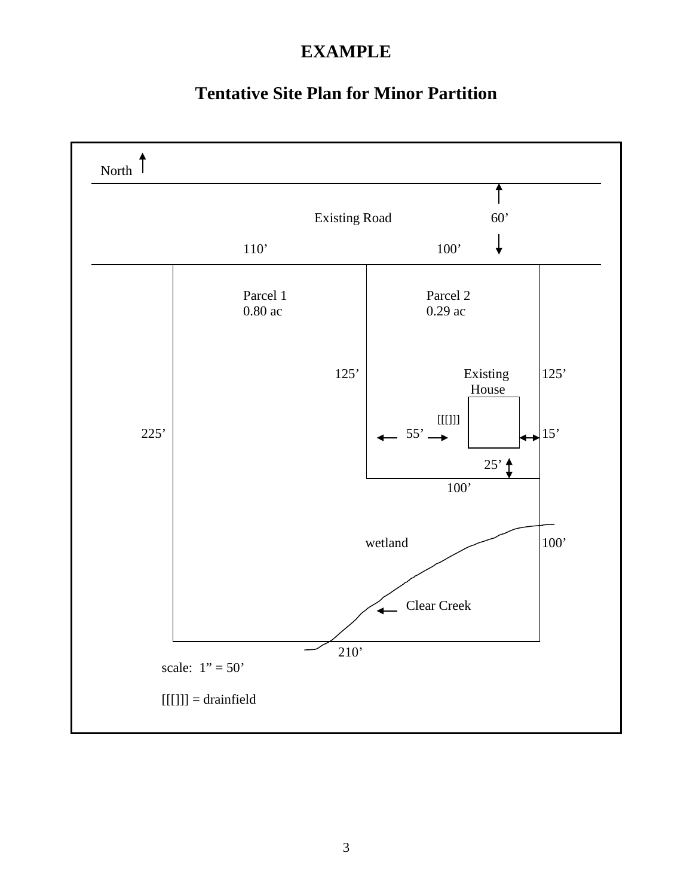## **EXAMPLE**

### **Tentative Site Plan for Minor Partition**